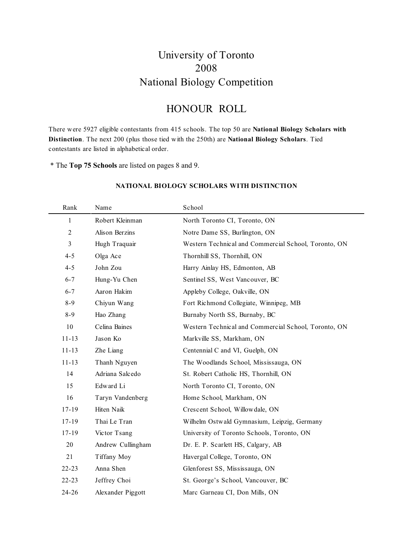## University of Toronto 2008 National Biology Competition

## HONOUR ROLL

There were 5927 eligible contestants from 415 schools. The top 50 are **National Biology Scholars with Distinction**. The next 200 (plus those tied with the 250th) are **National Biology Scholars**. Tied contestants are listed in alphabetical order.

\* The **Top 75 Schools** are listed on pages 8 and 9.

| Rank      | Name              | School                                               |
|-----------|-------------------|------------------------------------------------------|
| 1         | Robert Kleinman   | North Toronto CI, Toronto, ON                        |
| 2         | Alison Berzins    | Notre Dame SS, Burlington, ON                        |
| 3         | Hugh Traquair     | Western Technical and Commercial School, Toronto, ON |
| $4 - 5$   | Olga Ace          | Thornhill SS, Thornhill, ON                          |
| $4 - 5$   | John Zou          | Harry Ainlay HS, Edmonton, AB                        |
| $6 - 7$   | Hung-Yu Chen      | Sentinel SS, West Vancouver, BC                      |
| $6 - 7$   | Aaron Hakim       | Appleby College, Oakville, ON                        |
| $8 - 9$   | Chiyun Wang       | Fort Richmond Collegiate, Winnipeg, MB               |
| $8 - 9$   | Hao Zhang         | Burnaby North SS, Burnaby, BC                        |
| 10        | Celina Baines     | Western Technical and Commercial School, Toronto, ON |
| $11 - 13$ | Jason Ko          | Markville SS, Markham, ON                            |
| $11 - 13$ | Zhe Liang         | Centennial C and VI, Guelph, ON                      |
| $11 - 13$ | Thanh Nguyen      | The Woodlands School, Mississauga, ON                |
| 14        | Adriana Salcedo   | St. Robert Catholic HS, Thornhill, ON                |
| 15        | Edward Li         | North Toronto CI, Toronto, ON                        |
| 16        | Taryn Vandenberg  | Home School, Markham, ON                             |
| $17 - 19$ | Hiten Naik        | Crescent School, Willowdale, ON                      |
| $17 - 19$ | Thai Le Tran      | Wilhelm Ostwald Gymnasium, Leipzig, Germany          |
| $17 - 19$ | Victor Tsang      | University of Toronto Schools, Toronto, ON           |
| 20        | Andrew Cullingham | Dr. E. P. Scarlett HS, Calgary, AB                   |
| 21        | Tiffany Moy       | Havergal College, Toronto, ON                        |
| $22 - 23$ | Anna Shen         | Glenforest SS, Mississauga, ON                       |
| $22 - 23$ | Jeffrey Choi      | St. George's School, Vancouver, BC                   |
| 24-26     | Alexander Piggott | Marc Garneau CI, Don Mills, ON                       |

### **NATIONAL BIOLOGY SCHOLARS WITH DISTINCTION**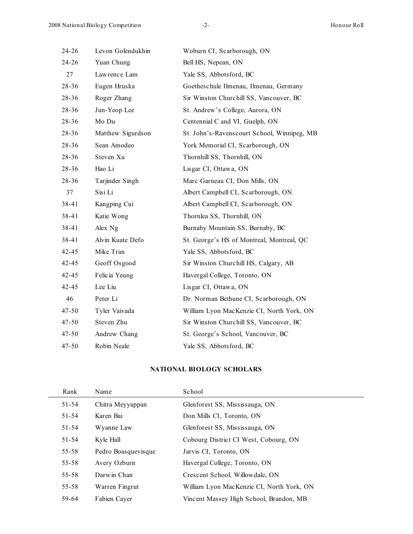| $24 - 26$ | Levon Golendukhin | Woburn CI, Scarborough, ON                  |
|-----------|-------------------|---------------------------------------------|
| $24 - 26$ | Yuan Chung        | Bell HS, Nepean, ON                         |
| 27        | Lawrence Lam      | Yale SS, Abbotsford, BC                     |
| $28 - 36$ | Eugen Hruska      | Goetheschule Ilmenau, Ilmenau, Germany      |
| 28-36     | Roger Zhang       | Sir Winston Churchill SS, Vancouver, BC     |
| $28 - 36$ | Jun-Yeop Lee      | St. Andrew's College, Aurora, ON            |
| $28 - 36$ | Mo Du             | Centennial C and VI, Guelph, ON             |
| $28 - 36$ | Matthew Sigurdson | St. John's-Ravenscourt School, Winnipeg, MB |
| 28-36     | Sean Amodeo       | York Memorial CI, Scarborough, ON           |
| $28 - 36$ | Steven Xu         | Thornhill SS, Thornhill, ON                 |
| 28-36     | Hao Li            | Lisgar CI, Ottawa, ON                       |
| $28 - 36$ | Tarjinder Singh   | Marc Garneau CI, Don Mills, ON              |
| 37        | Sisi Li           | Albert Campbell CI, Scarborough, ON         |
| 38-41     | Kangping Cui      | Albert Campbell CI, Scarborough, ON         |
| 38-41     | Katie Wong        | Thornlea SS, Thornhill, ON                  |
| 38-41     | Alex Ng           | Burnaby Mountain SS, Burnaby, BC            |
| 38-41     | Alvin Kuate Defo  | St. George's HS of Montreal, Montreal, QC   |
| 42-45     | Mike Tran         | Yale SS, Abbotsford, BC                     |
| $42 - 45$ | Geoff Osgood      | Sir Winston Churchill HS, Calgary, AB       |
| $42 - 45$ | Felicia Yeung     | Havergal College, Toronto, ON               |
| $42 - 45$ | Lee Liu           | Lisgar CI, Ottawa, ON                       |
| 46        | Peter Li          | Dr. Norman Bethune CI, Scarborough, ON      |
| 47-50     | Tyler Vaivada     | William Lyon MacKenzie CI, North York, ON   |
| $47 - 50$ | Steven Zhu        | Sir Winston Churchill SS, Vancouver, BC     |
| $47 - 50$ | Andrew Chang      | St. George's School, Vancouver, BC          |
| 47-50     | Robin Neale       | Yale SS, Abbotsford, BC                     |

#### **NATIONAL BIOLOGY SCHOLARS**

| Rank      | Name                | School                                    |
|-----------|---------------------|-------------------------------------------|
| $51 - 54$ | Chitra Meyyappan    | Glenforest SS, Mississauga, ON            |
| $51 - 54$ | Karen Bai           | Don Mills CI, Toronto, ON                 |
| $51 - 54$ | Wyanne Law          | Glenforest SS, Mississauga, ON            |
| $51 - 54$ | Kyle Hall           | Cobourg District CI West, Cobourg, ON     |
| $55 - 58$ | Pedro Boasquevisque | Jarvis CI, Toronto, ON                    |
| $55 - 58$ | Avery Ozburn        | Havergal College, Toronto, ON             |
| $55 - 58$ | Darwin Chan         | Crescent School, Willow dale, ON          |
| $55 - 58$ | Warren Fingrut      | William Lyon MacKenzie CI, North York, ON |
| 59-64     | Fabien Cayer        | Vincent Massey High School, Brandon, MB   |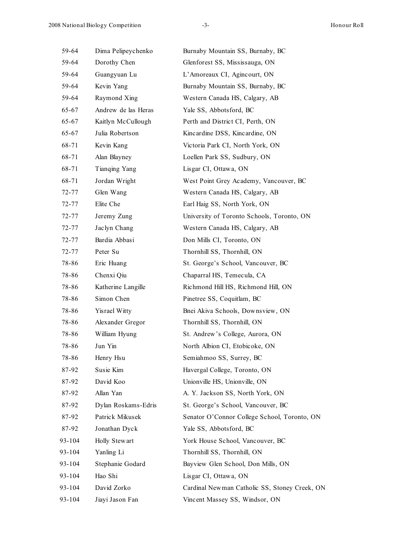| 59-64     | Dima Pelipeychenko  | Burnaby Mountain SS, Burnaby, BC              |
|-----------|---------------------|-----------------------------------------------|
| 59-64     | Dorothy Chen        | Glenforest SS, Mississauga, ON                |
| 59-64     | Guangyuan Lu        | L'Amoreaux CI, Agincourt, ON                  |
| 59-64     | Kevin Yang          | Burnaby Mountain SS, Burnaby, BC              |
| 59-64     | Raymond Xing        | Western Canada HS, Calgary, AB                |
| $65 - 67$ | Andrew de las Heras | Yale SS, Abbotsford, BC                       |
| $65 - 67$ | Kaitlyn McCullough  | Perth and District CI, Perth, ON              |
| 65-67     | Julia Robertson     | Kincardine DSS, Kincardine, ON                |
| 68-71     | Kevin Kang          | Victoria Park CI, North York, ON              |
| 68-71     | Alan Blayney        | Loellen Park SS, Sudbury, ON                  |
| 68-71     | Tianqing Yang       | Lisgar CI, Ottawa, ON                         |
| 68-71     | Jordan Wright       | West Point Grey Academy, Vancouver, BC        |
| 72-77     | Glen Wang           | Western Canada HS, Calgary, AB                |
| 72-77     | Elite Che           | Earl Haig SS, North York, ON                  |
| 72-77     | Jeremy Zung         | University of Toronto Schools, Toronto, ON    |
| 72-77     | Jaclyn Chang        | Western Canada HS, Calgary, AB                |
| 72-77     | Bardia Abbasi       | Don Mills CI, Toronto, ON                     |
| 72-77     | Peter Su            | Thornhill SS, Thornhill, ON                   |
| 78-86     | Eric Huang          | St. George's School, Vancouver, BC            |
| 78-86     | Chenxi Qiu          | Chaparral HS, Temecula, CA                    |
| 78-86     | Katherine Langille  | Richmond Hill HS, Richmond Hill, ON           |
| 78-86     | Simon Chen          | Pinetree SS, Coquitlam, BC                    |
| 78-86     | Yisrael Witty       | Bnei Akiva Schools, Downsview, ON             |
| 78-86     | Alexander Gregor    | Thornhill SS, Thornhill, ON                   |
| 78-86     | William Hyung       | St. Andrew's College, Aurora, ON              |
| 78-86     | Jun Yin             | North Albion CI, Etobicoke, ON                |
| 78-86     | Henry Hsu           | Semiahmoo SS, Surrey, BC                      |
| 87-92     | Susie Kim           | Havergal College, Toronto, ON                 |
| 87-92     | David Koo           | Unionville HS, Unionville, ON                 |
| 87-92     | Allan Yan           | A. Y. Jackson SS, North York, ON              |
| 87-92     | Dylan Roskams-Edris | St. George's School, Vancouver, BC            |
| 87-92     | Patrick Mikusek     | Senator O'Connor College School, Toronto, ON  |
| 87-92     | Jonathan Dyck       | Yale SS, Abbotsford, BC                       |
| 93-104    | Holly Stewart       | York House School, Vancouver, BC              |
| 93-104    | Yanling Li          | Thornhill SS, Thornhill, ON                   |
| 93-104    | Stephanie Godard    | Bayview Glen School, Don Mills, ON            |
| 93-104    | Hao Shi             | Lisgar CI, Ottawa, ON                         |
| 93-104    | David Zorko         | Cardinal Newman Catholic SS, Stoney Creek, ON |
| 93-104    | Jiayi Jason Fan     | Vincent Massey SS, Windsor, ON                |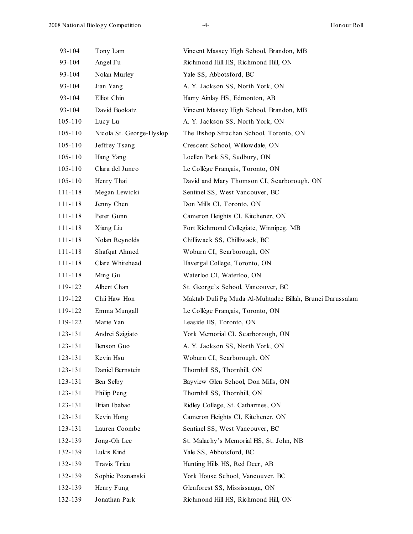| 93-104      | Tony Lam                 | Vincent Massey High School, Brandon, MB                   |
|-------------|--------------------------|-----------------------------------------------------------|
| 93-104      | Angel Fu                 | Richmond Hill HS, Richmond Hill, ON                       |
| 93-104      | Nolan Murley             | Yale SS, Abbotsford, BC                                   |
| 93-104      | Jian Yang                | A. Y. Jackson SS, North York, ON                          |
| 93-104      | Elliot Chin              | Harry Ainlay HS, Edmonton, AB                             |
| 93-104      | David Bookatz            | Vincent Massey High School, Brandon, MB                   |
| $105 - 110$ | Lucy Lu                  | A. Y. Jackson SS, North York, ON                          |
| $105 - 110$ | Nicola St. George-Hyslop | The Bishop Strachan School, Toronto, ON                   |
| $105 - 110$ | Jeffrey Tsang            | Crescent School, Willowdale, ON                           |
| 105-110     | Hang Yang                | Loellen Park SS, Sudbury, ON                              |
| $105 - 110$ | Clara del Junco          | Le Collège Français, Toronto, ON                          |
| 105-110     | Henry Thai               | David and Mary Thomson CI, Scarborough, ON                |
| 111-118     | Megan Lewicki            | Sentinel SS, West Vancouver, BC                           |
| 111-118     | Jenny Chen               | Don Mills CI, Toronto, ON                                 |
| 111-118     | Peter Gunn               | Cameron Heights CI, Kitchener, ON                         |
| 111-118     | Xiang Liu                | Fort Richmond Collegiate, Winnipeg, MB                    |
| 111-118     | Nolan Reynolds           | Chilliwack SS, Chilliwack, BC                             |
| 111-118     | Shafqat Ahmed            | Woburn CI, Scarborough, ON                                |
| 111-118     | Clare Whitehead          | Havergal College, Toronto, ON                             |
| 111-118     | Ming Gu                  | Waterloo CI, Waterloo, ON                                 |
| 119-122     | Albert Chan              | St. George's School, Vancouver, BC                        |
| 119-122     | Chii Haw Hon             | Maktab Duli Pg Muda Al-Muhtadee Billah, Brunei Darussalam |
| 119-122     | Emma Mungall             | Le Collège Français, Toronto, ON                          |
| 119-122     | Marie Yan                | Leaside HS, Toronto, ON                                   |
| 123-131     | Andrei Szigiato          | York Memorial CI, Scarborough, ON                         |
| 123-131     | Benson Guo               | A. Y. Jackson SS, North York, ON                          |
| 123-131     | Kevin Hsu                | Woburn CI, Scarborough, ON                                |
| 123-131     | Daniel Bernstein         | Thornhill SS, Thornhill, ON                               |
| 123-131     | Ben Selby                | Bayview Glen School, Don Mills, ON                        |
| 123-131     | Philip Peng              | Thornhill SS, Thornhill, ON                               |
| 123-131     | Brian Ibabao             | Ridley College, St. Catharines, ON                        |
| 123-131     | Kevin Hong               | Cameron Heights CI, Kitchener, ON                         |
| 123-131     | Lauren Coombe            | Sentinel SS, West Vancouver, BC                           |
| 132-139     | Jong-Oh Lee              | St. Malachy's Memorial HS, St. John, NB                   |
| 132-139     | Lukis Kind               | Yale SS, Abbotsford, BC                                   |
| 132-139     | Travis Trieu             | Hunting Hills HS, Red Deer, AB                            |
| 132-139     | Sophie Poznanski         | York House School, Vancouver, BC                          |
| 132-139     | Henry Fung               | Glenforest SS, Mississauga, ON                            |
| 132-139     | Jonathan Park            | Richmond Hill HS, Richmond Hill, ON                       |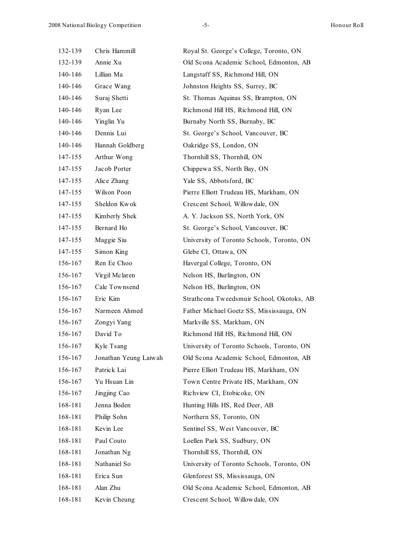| 132-139 | Chris Hammill         | Royal St. George's College, Toronto, ON    |
|---------|-----------------------|--------------------------------------------|
| 132-139 | Annie Xu              | Old Scona Academic School, Edmonton, AB    |
| 140-146 | Lillian Ma            | Langstaff SS, Richmond Hill, ON            |
| 140-146 | Grace Wang            | Johnston Heights SS, Surrey, BC            |
| 140-146 | Suraj Shetti          | St. Thomas Aquinas SS, Brampton, ON        |
| 140-146 | Ryan Lee              | Richmond Hill HS, Richmond Hill, ON        |
| 140-146 | Yinglin Yu            | Burnaby North SS, Burnaby, BC              |
| 140-146 | Dennis Lui            | St. George's School, Vancouver, BC         |
| 140-146 | Hannah Goldberg       | Oakridge SS, London, ON                    |
| 147-155 | Arthur Wong           | Thornhill SS, Thornhill, ON                |
| 147-155 | Jacob Porter          | Chippewa SS, North Bay, ON                 |
| 147-155 | Alice Zhang           | Yale SS, Abbotsford, BC                    |
| 147-155 | Wilson Poon           | Pierre Elliott Trudeau HS, Markham, ON     |
| 147-155 | Sheldon Kwok          | Crescent School, Willowdale, ON            |
| 147-155 | Kimberly Shek         | A. Y. Jackson SS, North York, ON           |
| 147-155 | Bernard Ho            | St. George's School, Vancouver, BC         |
| 147-155 | Maggie Siu            | University of Toronto Schools, Toronto, ON |
| 147-155 | Simon King            | Glebe CI, Ottawa, ON                       |
| 156-167 | Ren Ee Choo           | Havergal College, Toronto, ON              |
| 156-167 | Virgil Mclaren        | Nelson HS, Burlington, ON                  |
| 156-167 | Cale Townsend         | Nelson HS, Burlington, ON                  |
| 156-167 | Eric Kim              | Strathcona Tweedsmuir School, Okotoks, AB  |
| 156-167 | Narmeen Ahmed         | Father Michael Goetz SS, Mississauga, ON   |
| 156-167 | Zongyi Yang           | Markville SS, Markham, ON                  |
| 156-167 | David To              | Richmond Hill HS, Richmond Hill, ON        |
| 156-167 | Kyle Tsang            | University of Toronto Schools, Toronto, ON |
| 156-167 | Jonathan Yeung Laiwah | Old Scona Academic School, Edmonton, AB    |
| 156-167 | Patrick Lai           | Pierre Elliott Trudeau HS, Markham, ON     |
| 156-167 | Yu Hsuan Lin          | Town Centre Private HS, Markham, ON        |
| 156-167 | Jingjing Cao          | Richview CI, Etobicoke, ON                 |
| 168-181 | Jenna Boden           | Hunting Hills HS, Red Deer, AB             |
| 168-181 | Philip Sohn           | Northern SS, Toronto, ON                   |
| 168-181 | Kevin Lee             | Sentinel SS, West Vancouver, BC            |
| 168-181 | Paul Couto            | Loellen Park SS, Sudbury, ON               |
| 168-181 | Jonathan Ng           | Thornhill SS, Thornhill, ON                |
| 168-181 | Nathaniel So          | University of Toronto Schools, Toronto, ON |
| 168-181 | Erica Sun             | Glenforest SS, Mississauga, ON             |
| 168-181 | Alan Zhu              | Old Scona Academic School, Edmonton, AB    |
| 168-181 | Kevin Cheung          | Crescent School, Willowdale, ON            |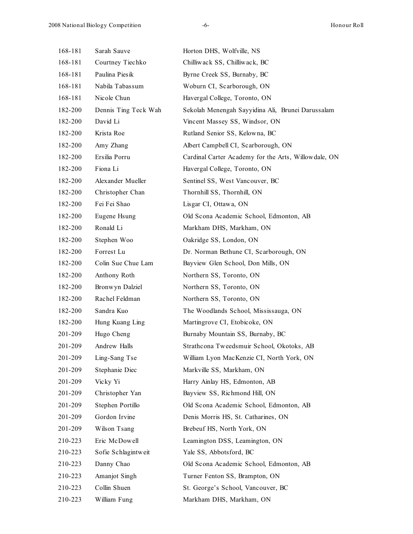| 168-181 | Sarah Sauve          | Horton DHS, Wolfville, NS                            |
|---------|----------------------|------------------------------------------------------|
| 168-181 | Courtney Tiechko     | Chilliwack SS, Chilliwack, BC                        |
| 168-181 | Paulina Piesik       | Byrne Creek SS, Burnaby, BC                          |
| 168-181 | Nabila Tabassum      | Woburn CI, Scarborough, ON                           |
| 168-181 | Nicole Chun          | Havergal College, Toronto, ON                        |
| 182-200 | Dennis Ting Teck Wah | Sekolah Menengah Sayyidina Ali, Brunei Darussalam    |
| 182-200 | David Li             | Vincent Massey SS, Windsor, ON                       |
| 182-200 | Krista Roe           | Rutland Senior SS, Kelowna, BC                       |
| 182-200 | Amy Zhang            | Albert Campbell CI, Scarborough, ON                  |
| 182-200 | Ersilia Porru        | Cardinal Carter Academy for the Arts, Willowdale, ON |
| 182-200 | Fiona Li             | Havergal College, Toronto, ON                        |
| 182-200 | Alexander Mueller    | Sentinel SS, West Vancouver, BC                      |
| 182-200 | Christopher Chan     | Thornhill SS, Thornhill, ON                          |
| 182-200 | Fei Fei Shao         | Lisgar CI, Ottawa, ON                                |
| 182-200 | Eugene Hsung         | Old Scona Academic School, Edmonton, AB              |
| 182-200 | Ronald Li            | Markham DHS, Markham, ON                             |
| 182-200 | Stephen Woo          | Oakridge SS, London, ON                              |
| 182-200 | Forrest Lu           | Dr. Norman Bethune CI, Scarborough, ON               |
| 182-200 | Colin Sue Chue Lam   | Bayview Glen School, Don Mills, ON                   |
| 182-200 | Anthony Roth         | Northern SS, Toronto, ON                             |
| 182-200 | Bronwyn Dalziel      | Northern SS, Toronto, ON                             |
| 182-200 | Rachel Feldman       | Northern SS, Toronto, ON                             |
| 182-200 | Sandra Kuo           | The Woodlands School, Mississauga, ON                |
| 182-200 | Hung Kuang Ling      | Martingrove CI, Etobicoke, ON                        |
| 201-209 | Hugo Cheng           | Burnaby Mountain SS, Burnaby, BC                     |
| 201-209 | Andrew Halls         | Strathcona Tweedsmuir School, Okotoks, AB            |
| 201-209 | Ling-Sang Tse        | William Lyon MacKenzie CI, North York, ON            |
| 201-209 | Stephanie Diec       | Markville SS, Markham, ON                            |
| 201-209 | Vicky Yi             | Harry Ainlay HS, Edmonton, AB                        |
| 201-209 | Christopher Yan      | Bayview SS, Richmond Hill, ON                        |
| 201-209 | Stephen Portillo     | Old Scona Academic School, Edmonton, AB              |
| 201-209 | Gordon Irvine        | Denis Morris HS, St. Catharines, ON                  |
| 201-209 | Wilson Tsang         | Brebeuf HS, North York, ON                           |
| 210-223 | Eric McDowell        | Leamington DSS, Leamington, ON                       |
| 210-223 | Sofie Schlagintweit  | Yale SS, Abbotsford, BC                              |
| 210-223 | Danny Chao           | Old Scona Academic School, Edmonton, AB              |
| 210-223 | Amanjot Singh        | Turner Fenton SS, Brampton, ON                       |
| 210-223 | Collin Shuen         | St. George's School, Vancouver, BC                   |
| 210-223 | William Fung         | Markham DHS, Markham, ON                             |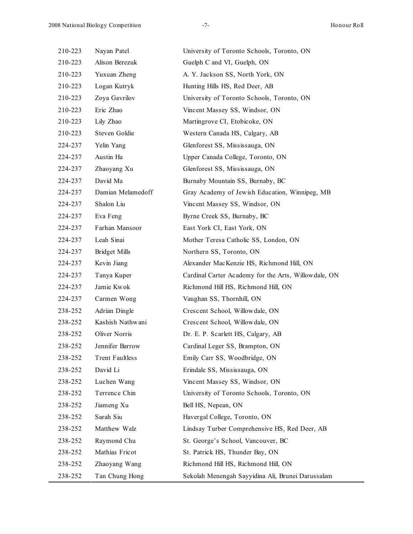| 210-223 | Nayan Patel          | University of Toronto Schools, Toronto, ON           |
|---------|----------------------|------------------------------------------------------|
| 210-223 | Alison Berezuk       | Guelph C and VI, Guelph, ON                          |
| 210-223 | Yuxuan Zheng         | A. Y. Jackson SS, North York, ON                     |
| 210-223 | Logan Kutryk         | Hunting Hills HS, Red Deer, AB                       |
| 210-223 | Zoya Gavrilov        | University of Toronto Schools, Toronto, ON           |
| 210-223 | Eric Zhao            | Vincent Massey SS, Windsor, ON                       |
| 210-223 | Lily Zhao            | Martingrove CI, Etobicoke, ON                        |
| 210-223 | Steven Goldie        | Western Canada HS, Calgary, AB                       |
| 224-237 | Yelin Yang           | Glenforest SS, Mississauga, ON                       |
| 224-237 | Austin Ha            | Upper Canada College, Toronto, ON                    |
| 224-237 | Zhaoyang Xu          | Glenforest SS, Mississauga, ON                       |
| 224-237 | David Ma             | Burnaby Mountain SS, Burnaby, BC                     |
| 224-237 | Damian Melamedoff    | Gray Academy of Jewish Education, Winnipeg, MB       |
| 224-237 | Shalon Liu           | Vincent Massey SS, Windsor, ON                       |
| 224-237 | Eva Feng             | Byrne Creek SS, Burnaby, BC                          |
| 224-237 | Farhan Mansoor       | East York CI, East York, ON                          |
| 224-237 | Leah Sinai           | Mother Teresa Catholic SS, London, ON                |
| 224-237 | <b>Bridget Mills</b> | Northern SS, Toronto, ON                             |
| 224-237 | Kevin Jiang          | Alexander MacKenzie HS, Richmond Hill, ON            |
| 224-237 | Tanya Kuper          | Cardinal Carter Academy for the Arts, Willowdale, ON |
| 224-237 | Jamie Kwok           | Richmond Hill HS, Richmond Hill, ON                  |
| 224-237 | Carmen Wong          | Vaughan SS, Thornhill, ON                            |
| 238-252 | Adrian Dingle        | Crescent School, Willowdale, ON                      |
| 238-252 | Kashish Nathwani     | Crescent School, Willowdale, ON                      |
| 238-252 | Oliver Norris        | Dr. E. P. Scarlett HS, Calgary, AB                   |
| 238-252 | Jennifer Barrow      | Cardinal Leger SS, Brampton, ON                      |
| 238-252 | Trent Faultless      | Emily Carr SS, Woodbridge, ON                        |
| 238-252 | David Li             | Erindale SS, Mississauga, ON                         |
| 238-252 | Luchen Wang          | Vincent Massey SS, Windsor, ON                       |
| 238-252 | Terrence Chin        | University of Toronto Schools, Toronto, ON           |
| 238-252 | Jiameng Xu           | Bell HS, Nepean, ON                                  |
| 238-252 | Sarah Siu            | Havergal College, Toronto, ON                        |
| 238-252 | Matthew Walz         | Lindsay Turber Comprehensive HS, Red Deer, AB        |
| 238-252 | Raymond Chu          | St. George's School, Vancouver, BC                   |
| 238-252 | Mathias Fricot       | St. Patrick HS, Thunder Bay, ON                      |
| 238-252 | Zhaoyang Wang        | Richmond Hill HS, Richmond Hill, ON                  |
| 238-252 | Tan Chung Hong       | Sekolah Menengah Sayyidina Ali, Brunei Darussalam    |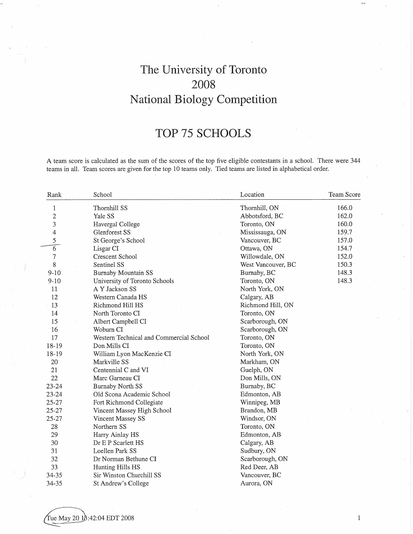# The University of Toronto 2008 National Biology Competition

# TOP 75 SCHOOLS

A team score is calculated as the sum of the scores of the top five eligible contestants in a school. There were 344 teams in all. Team scores are given for the top 10 teams only. Tied teams are listed in alphabetical order.

| Rank                    | School                                  | Location           | Team Score |
|-------------------------|-----------------------------------------|--------------------|------------|
| $\mathbf{1}$            | Thornhill SS                            | Thornhill, ON      | 166.0      |
| $\overline{c}$          | Yale SS                                 | Abbotsford, BC     | 162.0      |
| 3                       | Havergal College                        | Toronto, ON        | 160.0      |
| $\overline{\mathbf{4}}$ | Glenforest SS                           | Mississauga, ON    | 159.7      |
| 5                       | St George's School                      | Vancouver, BC      | 157.0      |
| $\overline{6}$          | Lisgar CI                               | Ottawa, ON         | 154.7      |
| 7                       | Crescent School                         | Willowdale, ON     | 152.0      |
| 8                       | Sentinel SS                             | West Vancouver, BC | 150.3      |
| $9 - 10$                | <b>Burnaby Mountain SS</b>              | Burnaby, BC        | 148.3      |
| $9 - 10$                | University of Toronto Schools           | Toronto, ON        | 148.3      |
| 11                      | A Y Jackson SS                          | North York, ON     |            |
| 12                      | Western Canada HS                       | Calgary, AB        |            |
| 13                      | Richmond Hill HS                        | Richmond Hill, ON  |            |
| 14                      | North Toronto CI                        | Toronto, ON        |            |
| 15                      | Albert Campbell CI                      | Scarborough, ON    |            |
| 16                      | Woburn CI                               | Scarborough, ON    |            |
| 17                      | Western Technical and Commercial School | Toronto, ON        |            |
| 18-19                   | Don Mills CI                            | Toronto, ON        |            |
| 18-19                   | William Lyon MacKenzie CI               | North York, ON     |            |
| 20                      | Markville SS                            | Markham, ON        |            |
| 21                      | Centennial C and VI                     | Guelph, ON         |            |
| 22                      | Marc Garneau CI                         | Don Mills, ON      |            |
| 23-24                   | <b>Burnaby North SS</b>                 | Burnaby, BC        |            |
| $23 - 24$               | Old Scona Academic School               | Edmonton, AB       |            |
| 25-27                   | Fort Richmond Collegiate                | Winnipeg, MB       |            |
| 25-27                   | Vincent Massey High School              | Brandon, MB        |            |
| 25-27                   | Vincent Massey SS                       | Windsor, ON        |            |
| 28                      | Northern SS                             | Toronto, ON        |            |
| 29                      | Harry Ainlay HS                         | Edmonton, AB       |            |
| 30                      | Dr E P Scarlett HS                      | Calgary, AB        |            |
| 31                      | Loellen Park SS                         | Sudbury, ON        |            |
| 32                      | Dr Norman Bethune CI                    | Scarborough, ON    |            |
| 33                      | Hunting Hills HS                        | Red Deer, AB       |            |
| 34-35                   | Sir Winston Churchill SS                | Vancouver, BC      |            |
| 34-35                   | St Andrew's College                     | Aurora, ON         |            |

 $\,1\,$